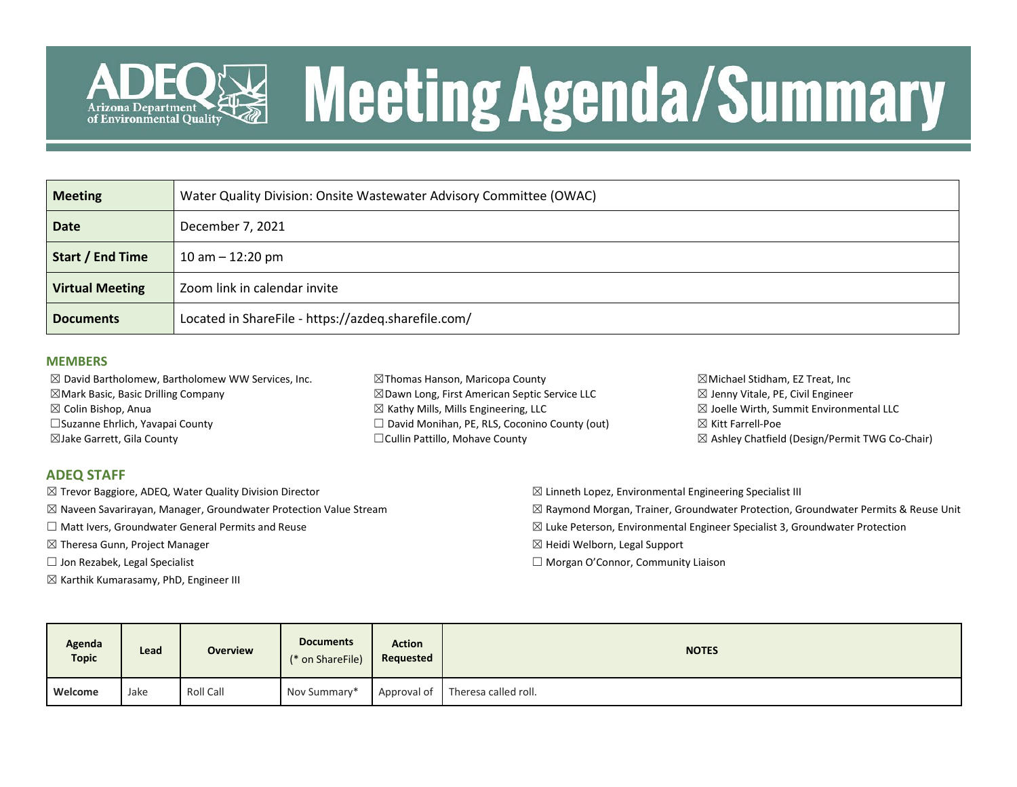

# **Meeting Agenda/Summary**

| <b>Meeting</b>         | Water Quality Division: Onsite Wastewater Advisory Committee (OWAC) |
|------------------------|---------------------------------------------------------------------|
| <b>Date</b>            | December 7, 2021                                                    |
| Start / End Time       | 10 am $-$ 12:20 pm                                                  |
| <b>Virtual Meeting</b> | Zoom link in calendar invite                                        |
| <b>Documents</b>       | Located in ShareFile - https://azdeq.sharefile.com/                 |

### **MEMBERS**

| $\boxtimes$ David Bartholomew, Bartholomew WW Services, Inc. | $\boxtimes$ Thomas Hanson, Maricopa County               | $\boxtimes$ Michael Stidham, EZ Treat, Inc                |
|--------------------------------------------------------------|----------------------------------------------------------|-----------------------------------------------------------|
| $\boxtimes$ Mark Basic, Basic Drilling Company               | $\boxtimes$ Dawn Long, First American Septic Service LLC | $\boxtimes$ Jenny Vitale, PE, Civil Engineer              |
| $\boxtimes$ Colin Bishop, Anua                               | $\boxtimes$ Kathy Mills, Mills Engineering, LLC          | $\boxtimes$ Joelle Wirth, Summit Environmental LLC        |
| □ Suzanne Ehrlich, Yavapai County                            | $\Box$ David Monihan, PE, RLS, Coconino County (out)     | $\boxtimes$ Kitt Farrell-Poe                              |
| $\boxtimes$ Jake Garrett, Gila County                        | □ Cullin Pattillo, Mohave County                         | $\boxtimes$ Ashley Chatfield (Design/Permit TWG Co-Chair) |
|                                                              |                                                          |                                                           |

### **ADEQ STAFF**

- ☒ Trevor Baggiore, ADEQ, Water Quality Division Director
- $\boxtimes$  Naveen Savarirayan, Manager, Groundwater Protection Value Stream
- ☐ Matt Ivers, Groundwater General Permits and Reuse
- ☒ Theresa Gunn, Project Manager
- $\Box$  Jon Rezabek, Legal Specialist
- $\boxtimes$  Karthik Kumarasamy, PhD, Engineer III
- $\boxtimes$  Linneth Lopez, Environmental Engineering Specialist III
- $\boxtimes$  Raymond Morgan, Trainer, Groundwater Protection, Groundwater Permits & Reuse Unit
- $\boxtimes$  Luke Peterson, Environmental Engineer Specialist 3, Groundwater Protection
- ☒ Heidi Welborn, Legal Support
- ☐ Morgan O'Connor, Community Liaison

| Agenda<br><b>Topic</b> | Lead | <b>Overview</b> | <b>Documents</b><br>(* on ShareFile) | <b>Action</b><br>Requested | <b>NOTES</b>                     |  |  |  |
|------------------------|------|-----------------|--------------------------------------|----------------------------|----------------------------------|--|--|--|
| Welcome                | Jake | Roll Call       | Nov Summary*                         |                            | Approval of Theresa called roll. |  |  |  |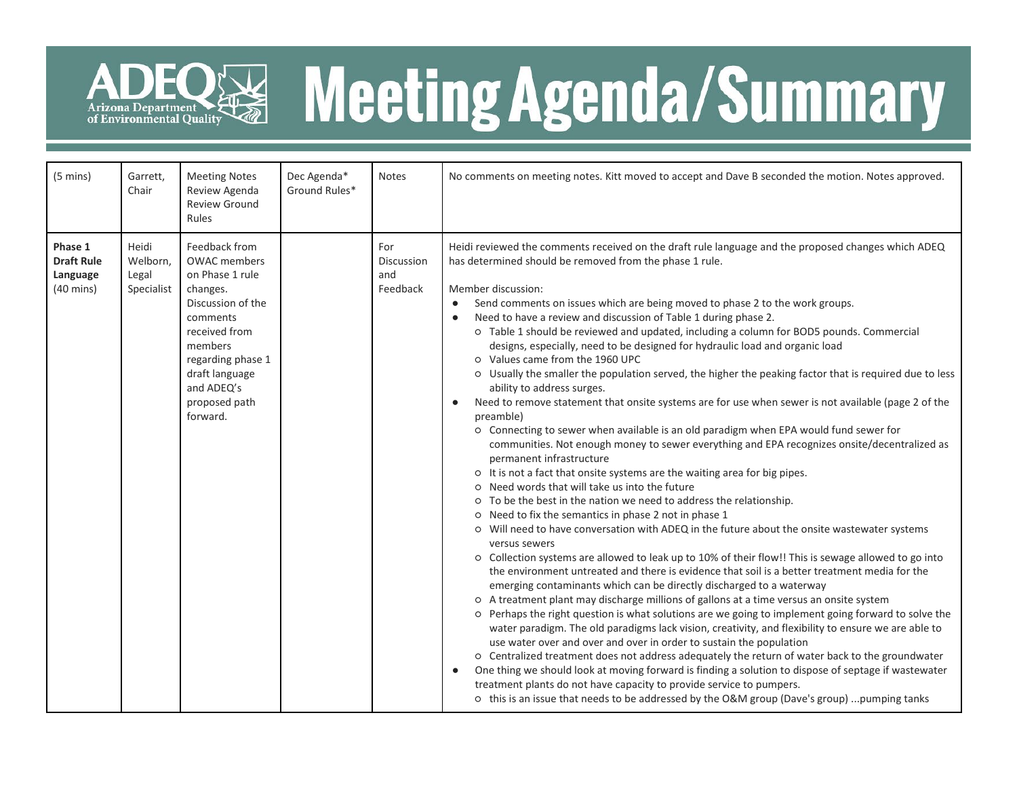

# ADEQ<sup>E</sup> Meeting Agenda/Summary

| $(5 \text{ mins})$                                              | Garrett,<br>Chair                        | <b>Meeting Notes</b><br>Review Agenda<br><b>Review Ground</b><br>Rules                                                                                                                                             | Dec Agenda*<br>Ground Rules* | <b>Notes</b>                         | No comments on meeting notes. Kitt moved to accept and Dave B seconded the motion. Notes approved.                                                                                                                                                                                                                                                                                                                                                                                                                                                                                                                                                                                                                                                                                                                                                                                                                                                                                                                                                                                                                                                                                                                                                                                                                                                                                                                                                                                                                                                                                                                                                                                                                                                                                                                                                                                                                                                                                                                                                                                                                                                                                                                                                                                                                                                                                                                                                                                        |  |  |  |  |
|-----------------------------------------------------------------|------------------------------------------|--------------------------------------------------------------------------------------------------------------------------------------------------------------------------------------------------------------------|------------------------------|--------------------------------------|-------------------------------------------------------------------------------------------------------------------------------------------------------------------------------------------------------------------------------------------------------------------------------------------------------------------------------------------------------------------------------------------------------------------------------------------------------------------------------------------------------------------------------------------------------------------------------------------------------------------------------------------------------------------------------------------------------------------------------------------------------------------------------------------------------------------------------------------------------------------------------------------------------------------------------------------------------------------------------------------------------------------------------------------------------------------------------------------------------------------------------------------------------------------------------------------------------------------------------------------------------------------------------------------------------------------------------------------------------------------------------------------------------------------------------------------------------------------------------------------------------------------------------------------------------------------------------------------------------------------------------------------------------------------------------------------------------------------------------------------------------------------------------------------------------------------------------------------------------------------------------------------------------------------------------------------------------------------------------------------------------------------------------------------------------------------------------------------------------------------------------------------------------------------------------------------------------------------------------------------------------------------------------------------------------------------------------------------------------------------------------------------------------------------------------------------------------------------------------------------|--|--|--|--|
| Phase 1<br><b>Draft Rule</b><br>Language<br>$(40 \text{ mins})$ | Heidi<br>Welborn,<br>Legal<br>Specialist | Feedback from<br><b>OWAC</b> members<br>on Phase 1 rule<br>changes.<br>Discussion of the<br>comments<br>received from<br>members<br>regarding phase 1<br>draft language<br>and ADEQ's<br>proposed path<br>forward. |                              | For<br>Discussion<br>and<br>Feedback | Heidi reviewed the comments received on the draft rule language and the proposed changes which ADEQ<br>has determined should be removed from the phase 1 rule.<br>Member discussion:<br>Send comments on issues which are being moved to phase 2 to the work groups.<br>$\bullet$<br>Need to have a review and discussion of Table 1 during phase 2.<br>O Table 1 should be reviewed and updated, including a column for BOD5 pounds. Commercial<br>designs, especially, need to be designed for hydraulic load and organic load<br>o Values came from the 1960 UPC<br>o Usually the smaller the population served, the higher the peaking factor that is required due to less<br>ability to address surges.<br>Need to remove statement that onsite systems are for use when sewer is not available (page 2 of the<br>preamble)<br>o Connecting to sewer when available is an old paradigm when EPA would fund sewer for<br>communities. Not enough money to sewer everything and EPA recognizes onsite/decentralized as<br>permanent infrastructure<br>o It is not a fact that onsite systems are the waiting area for big pipes.<br>O Need words that will take us into the future<br>o To be the best in the nation we need to address the relationship.<br>o Need to fix the semantics in phase 2 not in phase 1<br>O Will need to have conversation with ADEQ in the future about the onsite wastewater systems<br>versus sewers<br>o Collection systems are allowed to leak up to 10% of their flow!! This is sewage allowed to go into<br>the environment untreated and there is evidence that soil is a better treatment media for the<br>emerging contaminants which can be directly discharged to a waterway<br>O A treatment plant may discharge millions of gallons at a time versus an onsite system<br>o Perhaps the right question is what solutions are we going to implement going forward to solve the<br>water paradigm. The old paradigms lack vision, creativity, and flexibility to ensure we are able to<br>use water over and over and over in order to sustain the population<br>o Centralized treatment does not address adequately the return of water back to the groundwater<br>One thing we should look at moving forward is finding a solution to dispose of septage if wastewater<br>treatment plants do not have capacity to provide service to pumpers.<br>o this is an issue that needs to be addressed by the O&M group (Dave's group) pumping tanks |  |  |  |  |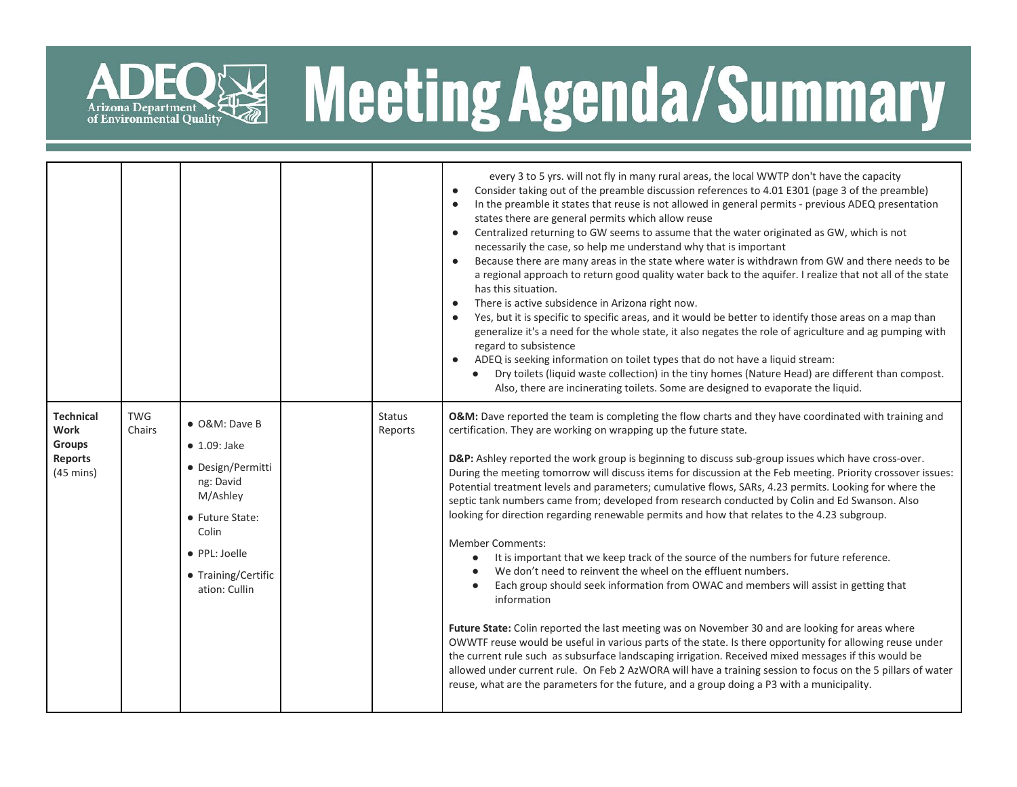

## ADEQ<sup>E</sup> Meeting Agenda/Summary

|                                                                             |                      |                                                                                                                                                                          |                          | every 3 to 5 yrs. will not fly in many rural areas, the local WWTP don't have the capacity<br>Consider taking out of the preamble discussion references to 4.01 E301 (page 3 of the preamble)<br>$\bullet$<br>In the preamble it states that reuse is not allowed in general permits - previous ADEQ presentation<br>$\bullet$<br>states there are general permits which allow reuse<br>Centralized returning to GW seems to assume that the water originated as GW, which is not<br>$\bullet$<br>necessarily the case, so help me understand why that is important<br>Because there are many areas in the state where water is withdrawn from GW and there needs to be<br>$\bullet$<br>a regional approach to return good quality water back to the aquifer. I realize that not all of the state<br>has this situation.<br>There is active subsidence in Arizona right now.<br>$\bullet$<br>Yes, but it is specific to specific areas, and it would be better to identify those areas on a map than<br>generalize it's a need for the whole state, it also negates the role of agriculture and ag pumping with<br>regard to subsistence<br>ADEQ is seeking information on toilet types that do not have a liquid stream:<br>Dry toilets (liquid waste collection) in the tiny homes (Nature Head) are different than compost.<br>Also, there are incinerating toilets. Some are designed to evaporate the liquid.                                                                                                                                        |
|-----------------------------------------------------------------------------|----------------------|--------------------------------------------------------------------------------------------------------------------------------------------------------------------------|--------------------------|-----------------------------------------------------------------------------------------------------------------------------------------------------------------------------------------------------------------------------------------------------------------------------------------------------------------------------------------------------------------------------------------------------------------------------------------------------------------------------------------------------------------------------------------------------------------------------------------------------------------------------------------------------------------------------------------------------------------------------------------------------------------------------------------------------------------------------------------------------------------------------------------------------------------------------------------------------------------------------------------------------------------------------------------------------------------------------------------------------------------------------------------------------------------------------------------------------------------------------------------------------------------------------------------------------------------------------------------------------------------------------------------------------------------------------------------------------------------------------------------------------------------------------------------------------------|
| <b>Technical</b><br>Work<br>Groups<br><b>Reports</b><br>$(45 \text{ mins})$ | <b>TWG</b><br>Chairs | • O&M: Dave B<br>$\bullet$ 1.09: Jake<br>• Design/Permitti<br>ng: David<br>M/Ashley<br>• Future State:<br>Colin<br>• PPL: Joelle<br>• Training/Certific<br>ation: Cullin | <b>Status</b><br>Reports | O&M: Dave reported the team is completing the flow charts and they have coordinated with training and<br>certification. They are working on wrapping up the future state.<br>D&P: Ashley reported the work group is beginning to discuss sub-group issues which have cross-over.<br>During the meeting tomorrow will discuss items for discussion at the Feb meeting. Priority crossover issues:<br>Potential treatment levels and parameters; cumulative flows, SARs, 4.23 permits. Looking for where the<br>septic tank numbers came from; developed from research conducted by Colin and Ed Swanson. Also<br>looking for direction regarding renewable permits and how that relates to the 4.23 subgroup.<br><b>Member Comments:</b><br>It is important that we keep track of the source of the numbers for future reference.<br>$\bullet$<br>We don't need to reinvent the wheel on the effluent numbers.<br>Each group should seek information from OWAC and members will assist in getting that<br>information<br>Future State: Colin reported the last meeting was on November 30 and are looking for areas where<br>OWWTF reuse would be useful in various parts of the state. Is there opportunity for allowing reuse under<br>the current rule such as subsurface landscaping irrigation. Received mixed messages if this would be<br>allowed under current rule. On Feb 2 AzWORA will have a training session to focus on the 5 pillars of water<br>reuse, what are the parameters for the future, and a group doing a P3 with a municipality. |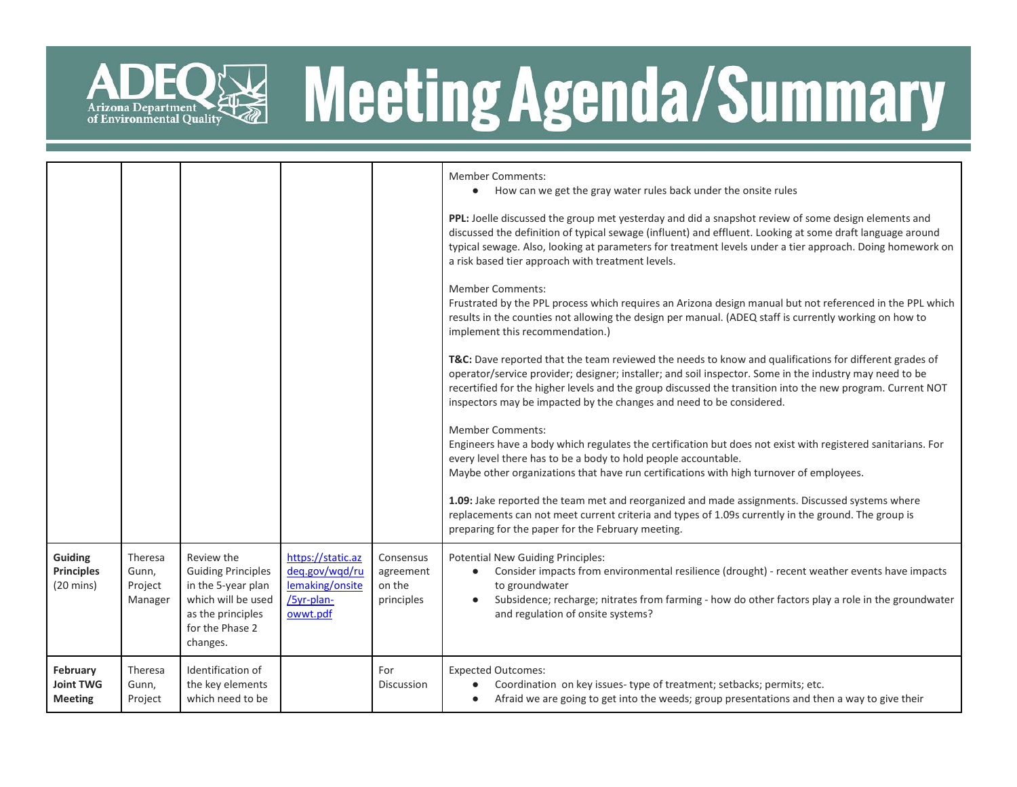

# ADEQ<sup>E</sup> Meeting Agenda/Summary

|                                                     |                                        |                                                                                                                                         |                                                                                  |                                                | <b>Member Comments:</b><br>How can we get the gray water rules back under the onsite rules<br>$\bullet$<br>PPL: Joelle discussed the group met yesterday and did a snapshot review of some design elements and<br>discussed the definition of typical sewage (influent) and effluent. Looking at some draft language around<br>typical sewage. Also, looking at parameters for treatment levels under a tier approach. Doing homework on<br>a risk based tier approach with treatment levels.<br><b>Member Comments:</b><br>Frustrated by the PPL process which requires an Arizona design manual but not referenced in the PPL which<br>results in the counties not allowing the design per manual. (ADEQ staff is currently working on how to<br>implement this recommendation.)<br>T&C: Dave reported that the team reviewed the needs to know and qualifications for different grades of<br>operator/service provider; designer; installer; and soil inspector. Some in the industry may need to be<br>recertified for the higher levels and the group discussed the transition into the new program. Current NOT<br>inspectors may be impacted by the changes and need to be considered.<br><b>Member Comments:</b><br>Engineers have a body which regulates the certification but does not exist with registered sanitarians. For<br>every level there has to be a body to hold people accountable.<br>Maybe other organizations that have run certifications with high turnover of employees.<br>1.09: Jake reported the team met and reorganized and made assignments. Discussed systems where<br>replacements can not meet current criteria and types of 1.09s currently in the ground. The group is<br>preparing for the paper for the February meeting. |
|-----------------------------------------------------|----------------------------------------|-----------------------------------------------------------------------------------------------------------------------------------------|----------------------------------------------------------------------------------|------------------------------------------------|--------------------------------------------------------------------------------------------------------------------------------------------------------------------------------------------------------------------------------------------------------------------------------------------------------------------------------------------------------------------------------------------------------------------------------------------------------------------------------------------------------------------------------------------------------------------------------------------------------------------------------------------------------------------------------------------------------------------------------------------------------------------------------------------------------------------------------------------------------------------------------------------------------------------------------------------------------------------------------------------------------------------------------------------------------------------------------------------------------------------------------------------------------------------------------------------------------------------------------------------------------------------------------------------------------------------------------------------------------------------------------------------------------------------------------------------------------------------------------------------------------------------------------------------------------------------------------------------------------------------------------------------------------------------------------------------------------------------------------------------------------------------|
| Guiding<br><b>Principles</b><br>$(20 \text{ mins})$ | Theresa<br>Gunn,<br>Project<br>Manager | Review the<br><b>Guiding Principles</b><br>in the 5-year plan<br>which will be used<br>as the principles<br>for the Phase 2<br>changes. | https://static.az<br>deg.gov/wqd/ru<br>lemaking/onsite<br>/5yr-plan-<br>owwt.pdf | Consensus<br>agreement<br>on the<br>principles | <b>Potential New Guiding Principles:</b><br>Consider impacts from environmental resilience (drought) - recent weather events have impacts<br>to groundwater<br>Subsidence; recharge; nitrates from farming - how do other factors play a role in the groundwater<br>$\bullet$<br>and regulation of onsite systems?                                                                                                                                                                                                                                                                                                                                                                                                                                                                                                                                                                                                                                                                                                                                                                                                                                                                                                                                                                                                                                                                                                                                                                                                                                                                                                                                                                                                                                                 |
| February<br><b>Joint TWG</b><br><b>Meeting</b>      | Theresa<br>Gunn,<br>Project            | Identification of<br>the key elements<br>which need to be                                                                               |                                                                                  | For<br><b>Discussion</b>                       | <b>Expected Outcomes:</b><br>Coordination on key issues-type of treatment; setbacks; permits; etc.<br>Afraid we are going to get into the weeds; group presentations and then a way to give their                                                                                                                                                                                                                                                                                                                                                                                                                                                                                                                                                                                                                                                                                                                                                                                                                                                                                                                                                                                                                                                                                                                                                                                                                                                                                                                                                                                                                                                                                                                                                                  |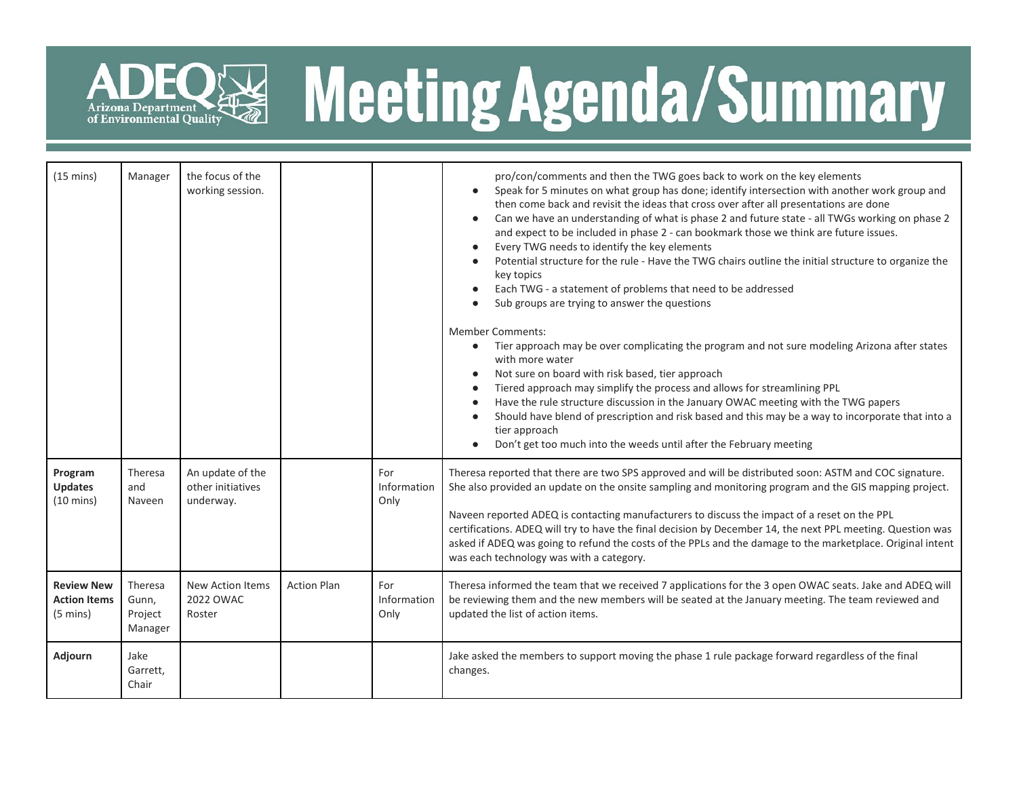

## R& Meeting Agenda/Summary

| $(15 \text{ mins})$                                            | Manager                                | the focus of the<br>working session.               |                    |                            | pro/con/comments and then the TWG goes back to work on the key elements<br>Speak for 5 minutes on what group has done; identify intersection with another work group and<br>$\bullet$<br>then come back and revisit the ideas that cross over after all presentations are done<br>Can we have an understanding of what is phase 2 and future state - all TWGs working on phase 2<br>and expect to be included in phase 2 - can bookmark those we think are future issues.<br>Every TWG needs to identify the key elements<br>Potential structure for the rule - Have the TWG chairs outline the initial structure to organize the<br>key topics<br>Each TWG - a statement of problems that need to be addressed<br>Sub groups are trying to answer the questions<br><b>Member Comments:</b><br>Tier approach may be over complicating the program and not sure modeling Arizona after states<br>$\bullet$<br>with more water<br>Not sure on board with risk based, tier approach<br>Tiered approach may simplify the process and allows for streamlining PPL<br>Have the rule structure discussion in the January OWAC meeting with the TWG papers<br>Should have blend of prescription and risk based and this may be a way to incorporate that into a<br>tier approach<br>Don't get too much into the weeds until after the February meeting |  |  |
|----------------------------------------------------------------|----------------------------------------|----------------------------------------------------|--------------------|----------------------------|------------------------------------------------------------------------------------------------------------------------------------------------------------------------------------------------------------------------------------------------------------------------------------------------------------------------------------------------------------------------------------------------------------------------------------------------------------------------------------------------------------------------------------------------------------------------------------------------------------------------------------------------------------------------------------------------------------------------------------------------------------------------------------------------------------------------------------------------------------------------------------------------------------------------------------------------------------------------------------------------------------------------------------------------------------------------------------------------------------------------------------------------------------------------------------------------------------------------------------------------------------------------------------------------------------------------------------------------|--|--|
| Program<br><b>Updates</b><br>$(10 \text{ mins})$               | Theresa<br>and<br>Naveen               | An update of the<br>other initiatives<br>underway. |                    | For<br>Information<br>Only | Theresa reported that there are two SPS approved and will be distributed soon: ASTM and COC signature.<br>She also provided an update on the onsite sampling and monitoring program and the GIS mapping project.<br>Naveen reported ADEQ is contacting manufacturers to discuss the impact of a reset on the PPL<br>certifications. ADEQ will try to have the final decision by December 14, the next PPL meeting. Question was<br>asked if ADEQ was going to refund the costs of the PPLs and the damage to the marketplace. Original intent<br>was each technology was with a category.                                                                                                                                                                                                                                                                                                                                                                                                                                                                                                                                                                                                                                                                                                                                                      |  |  |
| <b>Review New</b><br><b>Action Items</b><br>$(5 \text{ mins})$ | Theresa<br>Gunn,<br>Project<br>Manager | New Action Items<br>2022 OWAC<br>Roster            | <b>Action Plan</b> | For<br>Information<br>Only | Theresa informed the team that we received 7 applications for the 3 open OWAC seats. Jake and ADEQ will<br>be reviewing them and the new members will be seated at the January meeting. The team reviewed and<br>updated the list of action items.                                                                                                                                                                                                                                                                                                                                                                                                                                                                                                                                                                                                                                                                                                                                                                                                                                                                                                                                                                                                                                                                                             |  |  |
| Adjourn                                                        | Jake<br>Garrett.<br>Chair              |                                                    |                    |                            | Jake asked the members to support moving the phase 1 rule package forward regardless of the final<br>changes.                                                                                                                                                                                                                                                                                                                                                                                                                                                                                                                                                                                                                                                                                                                                                                                                                                                                                                                                                                                                                                                                                                                                                                                                                                  |  |  |